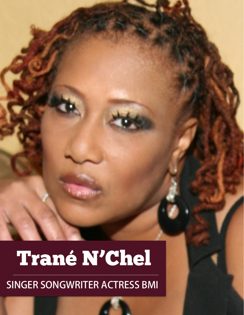## Trané N'Chel

SINGER SONGWRITER ACTRESS BMI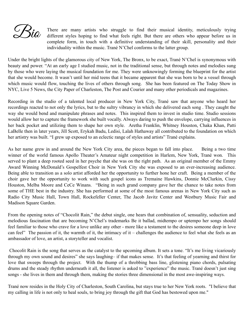$\mathscr{L}$ Ria

There are many artists who struggle to find their musical identity, meticulously trying different styles hoping to find what feels right. But there are others who appear before us in complete form, in touch with a definitive understanding of their skill, personality and their individuality within the music. Trané N'Chel conforms to the latter group.

Under the bright lights of the glamorous city of New York, The Bronx, to be exact, Trané N'Chel is synonymous with beauty and power. "At an early age I studied music, not in the traditional sense, but through notes and melodies sung by those who were laying the musical foundation for me. They were unknowingly forming the blueprint for the artist that she would become. It wasn't until her mid teens that it became apparent that she was born to be a vessel through which music would flow, touching the lives of others through song. She has been featured on The Today Show in NYC, Live 5 News, the City Paper of Charleston, The Post and Courier and many other periodicals and magazines.

Recording in the studio of a talented local producer in New York City, Trané saw that anyone who heard her recordings reacted to not only the lyrics, but to the sultry vibrancy in which she delivered each song . They caught the way she would bend and manipulate phrases and notes. This inspired them to invest in studio time. Studio sessions would allow her to capture the framework she built vocally. Always daring to push the envelope, carrying influences in her back pocket and utilizing them to shape her own style. Aretha Franklin, Whitney Houston, Chaka Khan, Patti LaBelle then in later years, Jill Scott, Erykah Badu, Ledisi, Lalah Hathaway all contributed to the foundation on which her artistry was built. "I grew up exposed to an eclectic range of styles and artists" Trané explains.

As her name grew in and around the New York City area, the pieces began to fall into place. Being a two time winner of the world famous Apollo Theater's Amateur night competition in Harlem, New York, Trané won. This served to plant a deep rooted seed in her psyche that she was on the right path. As an original member of the Emmy Award Winning McDonald's Gospelfest Choir in New York City she was exposed to an ever-increasing audience. Being able to transition as a solo artist afforded her the opportunity to further hone her craft. Being a member of the choir gave her the opportunity to work with such gospel icons as Tremaine Hawkins, Donnie McClurkin, Cissy Houston, Melba Moore and CeCe Winans. "Being in such grand company gave her the chance to take notes from some of THE best in the industry. She has performed at some of the most famous arenas in New York City such as Radio City Music Hall, Town Hall, Rockefeller Center, The Jacob Javitz Center and Westbury Music Fair and Madison Square Garden.

From the opening notes of "Chocolit Rain," the debut single, one hears that combination of, sensuality, seduction and melodious fascination that are becoming N'Chel's trademarks Be it ballad, midtempo or uptempo her songs should feel familiar to those who crave for a love unlike any other - more like a testament to the desires someone deep in love can feel" The passion of it, the warmth of it, the intimacy of it – challenges the audience to feel what she feels as an ambassador of love, an artist, a storyteller and vocalist.

 Chocolit Rain is the song that serves as the catalyst to the upcoming album. It sets a tone. "It's me living vicariously through my own sound and desires" she says laughing– if that makes sense. It's that feeling of yearning and thirst for love that sweeps through the project. With the thump of a throbbing bass line, glistening piano chords, pulsating drums and the steady rhythm underneath it all, the listener is asked to "experience" the music. Trané doesn't just sing songs - she lives in them and through them, making the stories three dimensional in the most awe-inspiring ways.

Trané now resides in the Holy City of Charleston, South Carolina, but stays true to her New York roots. "I believe that my calling in life is not only to heal souls, to bring joy through the gift that God has bestowed upon me."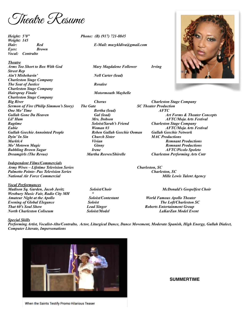Theatre Resume

*Weight: 145 Eyes: Brown Vocal: Contralto* 

*Theatre* 

*Arms Too Short to Box With God Mary Magdalene Follower Irving Street Rep Ain't Misbehavin' Nell Carter (lead) Charleston Stage Company*  **The Seat of Justice Rosalee** Rosalee *Charleston Stage Company Hairspray Finale* Motormouth Maybelle *Charleston Stage Company Big River Chorus Charleston Stage Company Sermon of Fire (Philip Simmon's Story) The Gate SC Theater Production*  **One Mo' Time**  Bertha (lead) Bertha (lead) Bertha (lead) Bertha (lead) AFTC Bertha (lead) Bertha (lead) AFTC A *Lil' Ham Mrs. Dobson AFTC/Moja Arts Festival Ragtime Soloist/Sarah's Friend Charleston Stage Company Eubie Woman #3 AFTC/Moja Arts Festival Gullah Geechie Annointed People Reben Gullah Geechie Ooman Gullah Geechie Network Dyin' In Sin Church Sister MAC Productions Mark6:4 Vivian Remnant Productions Mo' Motown Magic Ginny Remnant Productions Bubbling Brown Sugar Irene AFTC/Picolo Spoleto Dreamgirls (The Revue) Martha Reeves/Shirelle Charleston Performing Arts Cntr* 

*Independent Films/Commercials Army Wives – Lifetime Television Series Charleston, SC Palmetto Pointe- Pax Television Series Charleston, SC National Air Force Commercial Mille Lewis Talent Agency* 

*Vocal Performances Madison Sq. Garden, Jacob Javitz Soloist/Choir McDonald's Gospelfest Choir Westbury Music Fair, Radio City MH " Amateur Night at the Apollo Soloist/Contestant World Famous Apollo Theater Evening of Global Elegance Soloist Soloist The Loft/Charleston SC*<br> *Evening of Global Elegance Soloist Lead Singer Roberts Entertainment Group North Charleston Coliseum Soloist/Model LaKarZan Model Event* 

*Height: 5'0" Phone: (B) (917) 721-8845* 

*Hair: Red E-Mail: muzykldiva@gmail.com* 



*Gal (lead) Art Forms & Theater Concepts Arts*. Dobson *AFTC/Moia Arts Festival* 

*That 60's Superful Conduction Croup* Roberts Entertainment Group

## *Special Skills*

*Performing Artist, Vocalist-Alto/Contralto, Actor, Liturgical Dance, Dance Movement, Moderate Spanish, High Energy, Gullah Dialect, Computer Literate, Impersonations* 



## **SUMMERTIME**

When the Saints Testify Promo Hilarious Teaser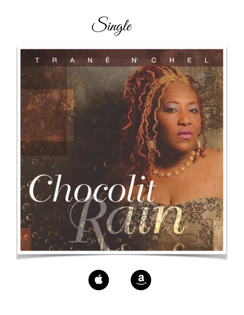Single





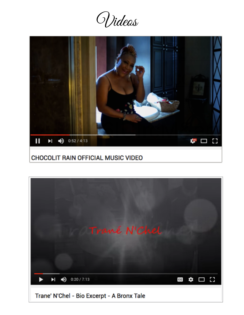Videos